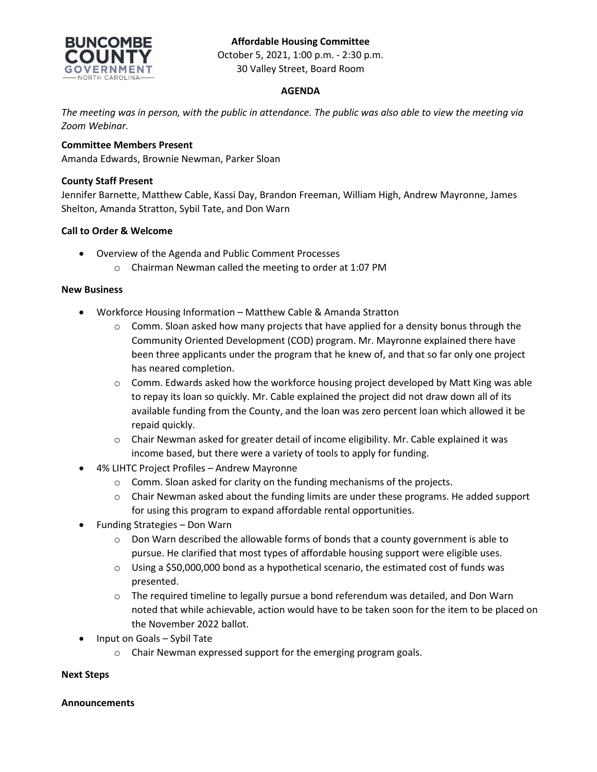# **Affordable Housing Committee**



October 5, 2021, 1:00 p.m. - 2:30 p.m. 30 Valley Street, Board Room

## **AGENDA**

*The meeting was in person, with the public in attendance. The public was also able to view the meeting via Zoom Webinar.*

## **Committee Members Present**

Amanda Edwards, Brownie Newman, Parker Sloan

#### **County Staff Present**

Jennifer Barnette, Matthew Cable, Kassi Day, Brandon Freeman, William High, Andrew Mayronne, James Shelton, Amanda Stratton, Sybil Tate, and Don Warn

### **Call to Order & Welcome**

- Overview of the Agenda and Public Comment Processes
	- o Chairman Newman called the meeting to order at 1:07 PM

#### **New Business**

- Workforce Housing Information Matthew Cable & Amanda Stratton
	- $\circ$  Comm. Sloan asked how many projects that have applied for a density bonus through the Community Oriented Development (COD) program. Mr. Mayronne explained there have been three applicants under the program that he knew of, and that so far only one project has neared completion.
	- $\circ$  Comm. Edwards asked how the workforce housing project developed by Matt King was able to repay its loan so quickly. Mr. Cable explained the project did not draw down all of its available funding from the County, and the loan was zero percent loan which allowed it be repaid quickly.
	- o Chair Newman asked for greater detail of income eligibility. Mr. Cable explained it was income based, but there were a variety of tools to apply for funding.
- 4% LIHTC Project Profiles Andrew Mayronne
	- o Comm. Sloan asked for clarity on the funding mechanisms of the projects.
	- $\circ$  Chair Newman asked about the funding limits are under these programs. He added support for using this program to expand affordable rental opportunities.
- Funding Strategies Don Warn
	- $\circ$  Don Warn described the allowable forms of bonds that a county government is able to pursue. He clarified that most types of affordable housing support were eligible uses.
	- $\circ$  Using a \$50,000,000 bond as a hypothetical scenario, the estimated cost of funds was presented.
	- $\circ$  The required timeline to legally pursue a bond referendum was detailed, and Don Warn noted that while achievable, action would have to be taken soon for the item to be placed on the November 2022 ballot.
- Input on Goals Sybil Tate
	- o Chair Newman expressed support for the emerging program goals.

### **Next Steps**

### **Announcements**